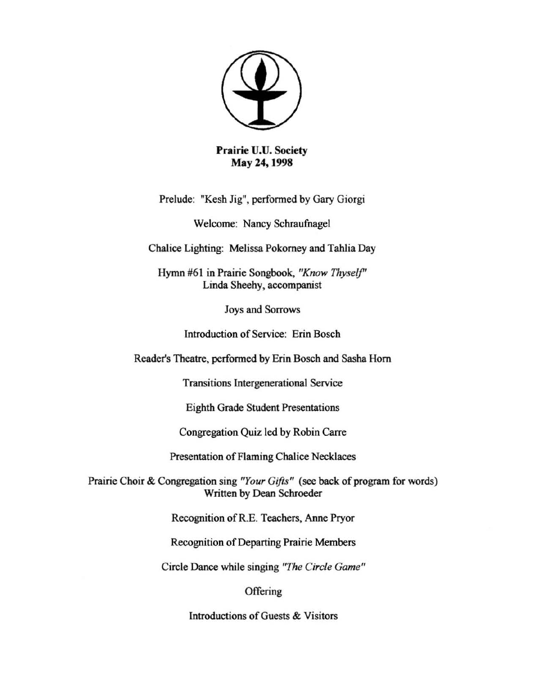

Prairie U.U. Society May 24, 1998

Prelude: "Kesh Jig", perfonned by Gary Giorgi

Welcome: Nancy Schraufnagel

Chalice Lighting: Melissa Pokorney and Tahlia Day

**Hymn #6 1 in Prairie Songbook,** *"Know Thyself'*  Linda Sheehy, accompanist

**Joys and Sorrows** 

**Introduction** of Service: **Erin Bosch** 

Reader's Theatre, performed by Erin Bosch and Sasha Horn

**Transitions lntergenerational Service** 

Eighth Grade Student Presentations

Congregation Quiz led by Robin Carre

**Presentation** of Flaming **Chalice Necklaces** 

Prairie Choir & Congregation sing *"Your Gifts"* (see hack of program for words) Written by Dean Schroeder

Recognition of R.E. Teachers, Anne Pryor

**Recognition** of Departing **Prairie Members** 

**Circle Dance while singing** *"The Circle Game"* 

**Offering** 

**Introductions** of Guests **& Visitors**